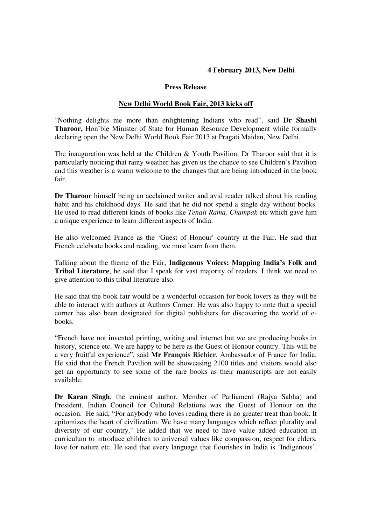## **4 February 2013, New Delhi**

## **Press Release**

## **New Delhi World Book Fair, 2013 kicks off**

"Nothing delights me more than enlightening Indians who read", said **Dr Shashi Tharoor,** Hon'ble Minister of State for Human Resource Development while formally declaring open the New Delhi World Book Fair 2013 at Pragati Maidan, New Delhi.

The inauguration was held at the Children & Youth Pavilion, Dr Tharoor said that it is particularly noticing that rainy weather has given us the chance to see Children's Pavilion and this weather is a warm welcome to the changes that are being introduced in the book fair.

**Dr Tharoor** himself being an acclaimed writer and avid reader talked about his reading habit and his childhood days. He said that he did not spend a single day without books. He used to read different kinds of books like *Tenali Rama, Champak* etc which gave him a unique experience to learn different aspects of India.

He also welcomed France as the 'Guest of Honour' country at the Fair. He said that French celebrate books and reading, we must learn from them.

Talking about the theme of the Fair, **Indigenous Voices: Mapping India's Folk and Tribal Literature**, he said that I speak for vast majority of readers. I think we need to give attention to this tribal literature also.

He said that the book fair would be a wonderful occasion for book lovers as they will be able to interact with authors at Authors Corner. He was also happy to note that a special corner has also been designated for digital publishers for discovering the world of ebooks.

"French have not invented printing, writing and internet but we are producing books in history, science etc. We are happy to be here as the Guest of Honour country. This will be a very fruitful experience", said **Mr François Richier**, Ambassador of France for India. He said that the French Pavilion will be showcasing 2100 titles and visitors would also get an opportunity to see some of the rare books as their manuscripts are not easily available.

**Dr Karan Singh**, the eminent author, Member of Parliament (Rajya Sabha) and President, Indian Council for Cultural Relations was the Guest of Honour on the occasion. He said, "For anybody who loves reading there is no greater treat than book. It epitomizes the heart of civilization. We have many languages which reflect plurality and diversity of our country." He added that we need to have value added education in curriculum to introduce children to universal values like compassion, respect for elders, love for nature etc. He said that every language that flourishes in India is 'Indigenous'.